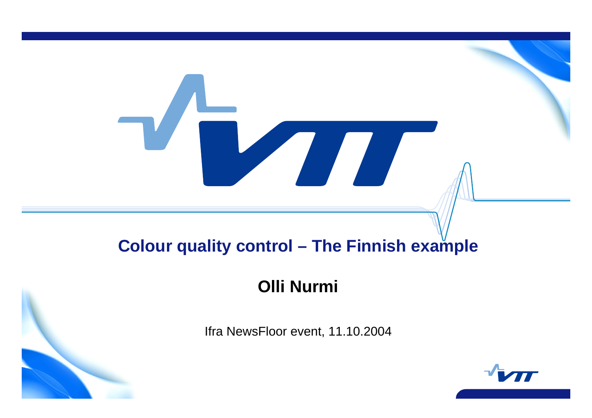# **Colour quality control – The Finnish example**

## **Olli Nurmi**

Ifra NewsFloor event, 11.10.2004

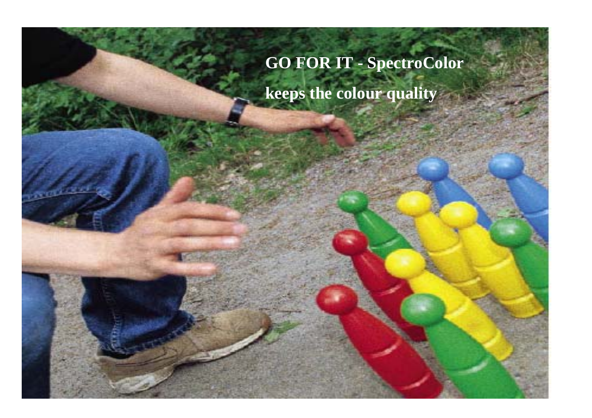# **GO FOR IT - SpectroColor keeps the colour quality**

VTT TECHNICAL RESEARCH CENTRE OF FINLAND PERSONAL RESEARCH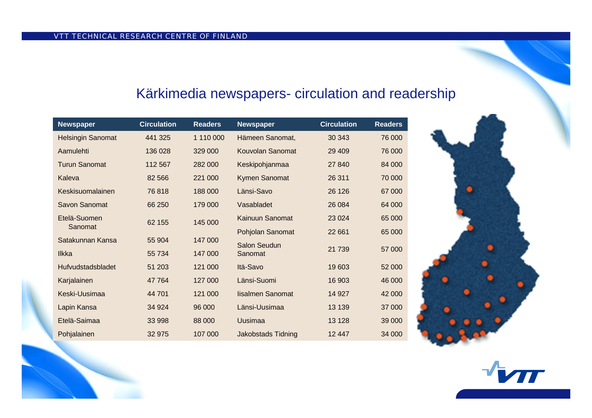### Kärkimedia newspapers- circulation and readership

| <b>Newspaper</b>         | <b>Circulation</b> | <b>Readers</b> | <b>Newspaper</b>          | <b>Circulation</b> | <b>Readers</b> |  |
|--------------------------|--------------------|----------------|---------------------------|--------------------|----------------|--|
| <b>Helsingin Sanomat</b> | 441 325            | 1 110 000      | Hämeen Sanomat,           | 30 34 3            | 76 000         |  |
| Aamulehti                | 136 028            | 329 000        | Kouvolan Sanomat          | 29 4 09            | 76 000         |  |
| <b>Turun Sanomat</b>     | 112 567            | 282 000        | Keskipohjanmaa            | 27 840             | 84 000         |  |
| Kaleva                   | 82 566             | 221 000        | Kymen Sanomat             | 26 311             | 70 000         |  |
| Keskisuomalainen         | 76818              | 188 000        | Länsi-Savo                | 26 1 26            | 67 000         |  |
| Savon Sanomat            | 66 250             | 179 000        | Vasabladet                | 26 0 84            | 64 000         |  |
| Etelä-Suomen             | 62 155             | 145 000        | Kainuun Sanomat           | 23 0 24            | 65 000         |  |
| Sanomat                  |                    |                | Pohjolan Sanomat          | 22 661             | 65 000         |  |
| Satakunnan Kansa         | 55 904             | 147 000        | <b>Salon Seudun</b>       | 21739              | 57 000         |  |
| <b>Ilkka</b>             | 55 734             | 147 000        | Sanomat                   |                    |                |  |
| <b>Hufvudstadsbladet</b> | 51 203             | 121 000        | Itä-Savo                  | 19603              | 52 000         |  |
| Karjalainen              | 47 764             | 127 000        | Länsi-Suomi               | 16 903             | 46 000         |  |
| Keski-Uusimaa            | 44 701             | 121 000        | lisalmen Sanomat          | 14 9 27            | 42 000         |  |
| Lapin Kansa              | 34 9 24            | 96 000         | Länsi-Uusimaa             | 13 139             | 37 000         |  |
| Etelä-Saimaa             | 33 998             | 88 000         | Uusimaa                   | 13 1 28            | 39 000         |  |
| Pohjalainen              | 32 975             | 107 000        | <b>Jakobstads Tidning</b> | 12447              | 34 000         |  |



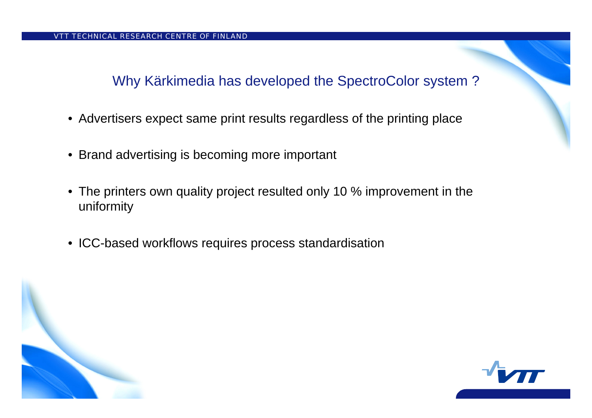Why Kärkimedia has developed the SpectroColor system ?

- Advertisers expect same print results regardless of the printing place
- Brand advertising is becoming more important
- The printers own quality project resulted only 10 % improvement in the uniformity
- ICC-based workflows requires process standardisation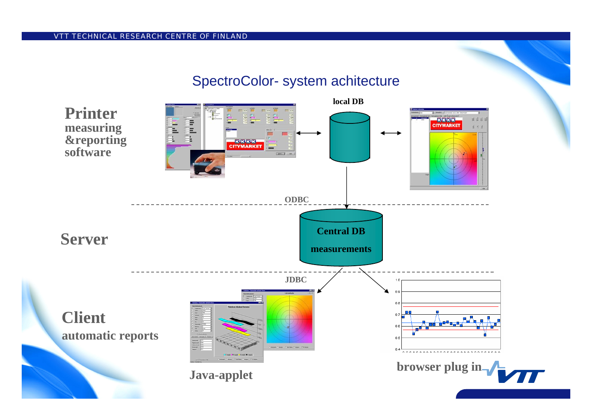#### SpectroColor-system achitecture

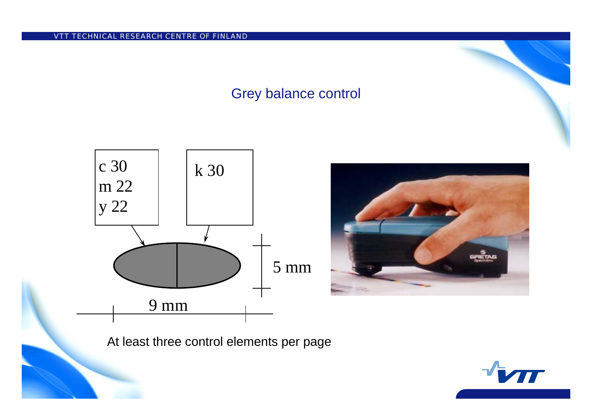#### Grey balance control





At least three control elements per page

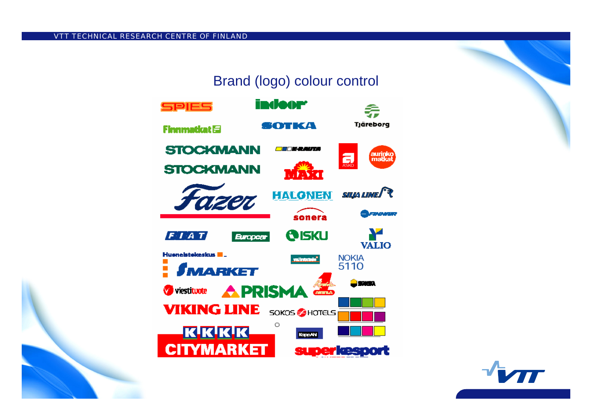#### Brand (logo) colour control



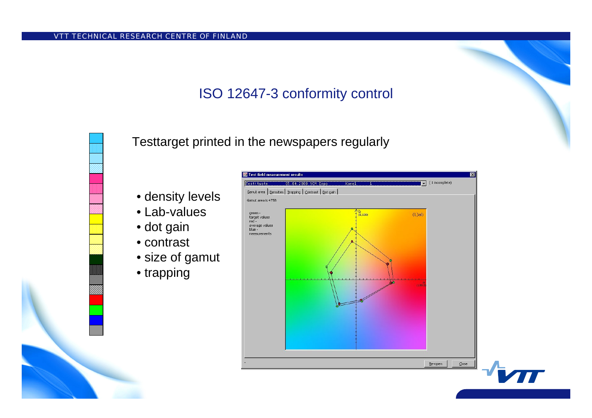### ISO 12647-3 conformity control

Testtarget printed in the newspapers regularly

- density levels
- Lab-values
- dot gain
- •contrast
- size of gamut
- trapping

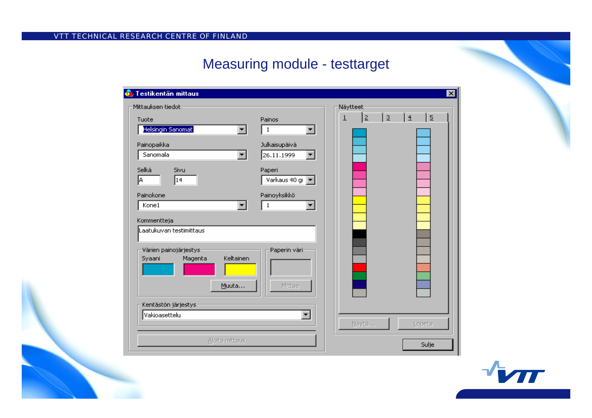#### Measuring module - testtarget

| <b>C</b> Testikentän mittaus   |                      |                |             |            |                                  | ⊠ |
|--------------------------------|----------------------|----------------|-------------|------------|----------------------------------|---|
| Mittauksen tiedot              |                      | Näytteet       |             |            |                                  |   |
| Tuote                          | Painos               | $\overline{1}$ | $\subseteq$ | <u>  3</u> | $\frac{14}{1}$<br>$\overline{5}$ |   |
| Helsingin Sanomat<br>▾╎        | $\mathbf{1}$<br>▾╎   |                |             |            |                                  |   |
| Painopaikka                    | Julkaisupäivä        |                |             |            |                                  |   |
| Sanomala                       | 26.11.1999<br>▾∣     |                |             |            |                                  |   |
| Selkä<br>Sivu                  | Paperi               |                |             |            |                                  |   |
| 14<br> A                       | Varkaus 40 gi        |                |             |            |                                  |   |
| Painokone                      | Painoyksikkö         |                |             |            |                                  |   |
| Kone1                          | $\mathbf 1$          |                |             |            |                                  |   |
| Kommentteja                    |                      |                |             |            |                                  |   |
| Laatukuvan testimittaus        |                      |                |             |            |                                  |   |
| Värien painojärjestys          | Paperin väri         |                |             |            |                                  |   |
| Keltainen<br>Magenta<br>Syaani |                      |                |             |            |                                  |   |
|                                |                      |                |             |            |                                  |   |
| Muuta                          | Mittaa               |                |             |            |                                  |   |
| Kentästön järjestys            |                      |                |             |            |                                  |   |
| Vakioasettelu                  | $\blacktriangledown$ |                |             |            |                                  |   |
|                                |                      |                | Näytä       |            | Lopeta                           |   |
| Aloita mittaus                 |                      |                |             |            | Sulje                            |   |
|                                |                      |                |             |            |                                  |   |

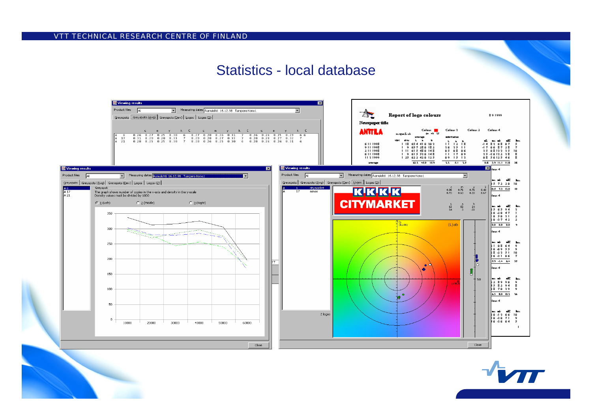#### Statistics - local database



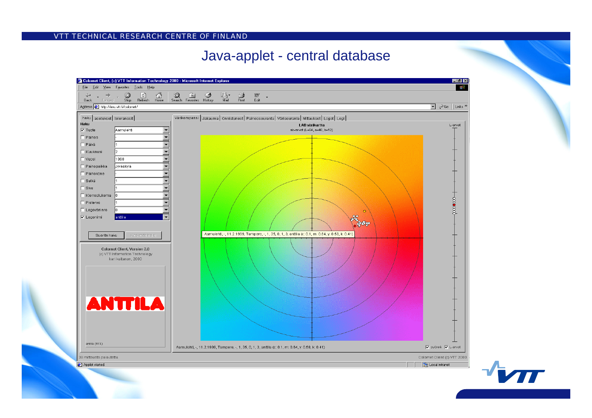#### Java-applet - central database



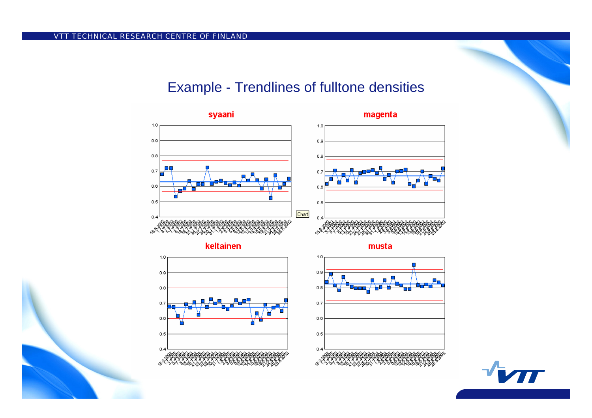#### Example - Trendlines of fulltone densities



keltainen





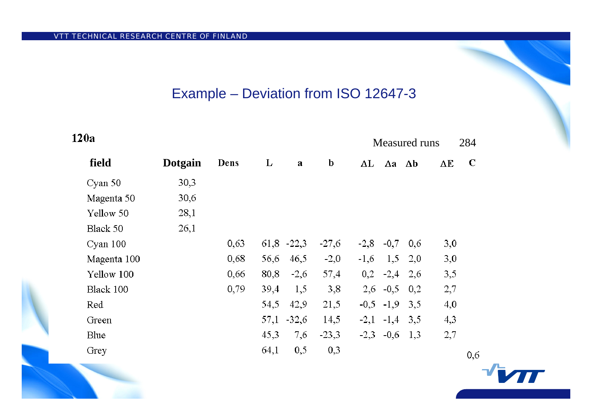$\sim$   $\sim$ 

#### Example – Deviation from ISO 12647-3

| 120a<br>Measured runs |             |                |      |      |                |             | 284    |                                  |            |     |             |
|-----------------------|-------------|----------------|------|------|----------------|-------------|--------|----------------------------------|------------|-----|-------------|
|                       | field       | <b>Dotgain</b> | Dens | L    | a              | $\mathbf b$ |        | $\Delta L$ $\Delta a$ $\Delta b$ |            | ΔE  | $\mathbf C$ |
|                       | Cyan 50     | 30,3           |      |      |                |             |        |                                  |            |     |             |
|                       | Magenta 50  | 30,6           |      |      |                |             |        |                                  |            |     |             |
|                       | Yellow 50   | 28,1           |      |      |                |             |        |                                  |            |     |             |
|                       | Black 50    | 26,1           |      |      |                |             |        |                                  |            |     |             |
|                       | Cyan 100    |                | 0,63 |      | $61,8$ -22,3   | $-27,6$     | $-2,8$ |                                  | $-0,7$ 0.6 | 3,0 |             |
|                       | Magenta 100 |                | 0,68 | 56,6 | 46,5           | $-2,0$      | $-1,6$ | $1,5$ 2,0                        |            | 3,0 |             |
|                       | Yellow 100  |                | 0,66 | 80,8 | $-2,6$         | 57,4        |        | $0,2$ $-2,4$ $2,6$               |            | 3,5 |             |
|                       | Black 100   |                | 0,79 | 39,4 | 1,5            | 3,8         |        | $2,6$ -0,5 0,2                   |            | 2,7 |             |
|                       | Red         |                |      | 54,5 | 42,9           | 21,5        |        | $-0,5$ $-1,9$                    | 3.5        | 4,0 |             |
|                       | Green       |                |      |      | $57,1$ $-32,6$ | 14,5        |        | $-2,1$ $-1,4$ $3,5$              |            | 4,3 |             |
|                       | Blue        |                |      | 45,3 | 7,6            | $-23,3$     |        | $-2,3$ $-0,6$                    | 1,3        | 2,7 |             |
|                       | Grey        |                |      | 64,1 | 0,5            | 0,3         |        |                                  |            |     | 0,6         |
|                       |             |                |      |      |                |             |        |                                  |            |     |             |

T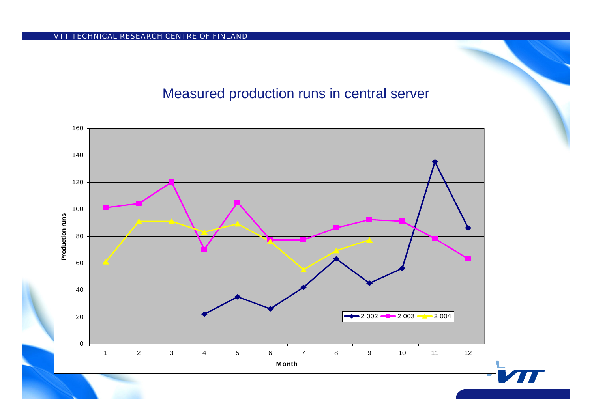#### Measured production runs in central server